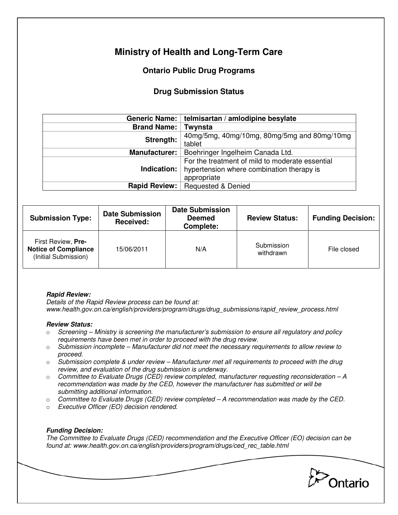# **Ministry of Health and Long-Term Care**

## **Ontario Public Drug Programs**

### **Drug Submission Status**

|                      | Generic Name:   telmisartan / amlodipine besylate                                                           |  |  |
|----------------------|-------------------------------------------------------------------------------------------------------------|--|--|
| <b>Brand Name:</b>   | Twynsta                                                                                                     |  |  |
| Strength:            | 40mg/5mg, 40mg/10mg, 80mg/5mg and 80mg/10mg<br>tablet                                                       |  |  |
| <b>Manufacturer:</b> | Boehringer Ingelheim Canada Ltd.                                                                            |  |  |
| Indication:          | For the treatment of mild to moderate essential<br>hypertension where combination therapy is<br>appropriate |  |  |
| <b>Rapid Review:</b> | <b>Requested &amp; Denied</b>                                                                               |  |  |

| <b>Submission Type:</b>                                                   | <b>Date Submission</b><br>Received: | <b>Date Submission</b><br><b>Deemed</b><br>Complete: | <b>Review Status:</b>   | <b>Funding Decision:</b> |
|---------------------------------------------------------------------------|-------------------------------------|------------------------------------------------------|-------------------------|--------------------------|
| First Review, Pre-<br><b>Notice of Compliance</b><br>(Initial Submission) | 15/06/2011                          | N/A                                                  | Submission<br>withdrawn | File closed              |

#### **Rapid Review:**

Details of the Rapid Review process can be found at: www.health.gov.on.ca/english/providers/program/drugs/drug\_submissions/rapid\_review\_process.html

#### **Review Status:**

- $\circ$  Screening Ministry is screening the manufacturer's submission to ensure all regulatory and policy requirements have been met in order to proceed with the drug review.
- $\circ$  Submission incomplete Manufacturer did not meet the necessary requirements to allow review to proceed.
- $\circ$  Submission complete & under review Manufacturer met all requirements to proceed with the drug review, and evaluation of the drug submission is underway.
- $\circ$  Committee to Evaluate Drugs (CED) review completed, manufacturer requesting reconsideration A recommendation was made by the CED, however the manufacturer has submitted or will be submitting additional information.
- $\circ$  Committee to Evaluate Drugs (CED) review completed  $-A$  recommendation was made by the CED.
- o Executive Officer (EO) decision rendered.

### **Funding Decision:**

The Committee to Evaluate Drugs (CED) recommendation and the Executive Officer (EO) decision can be found at: www.health.gov.on.ca/english/providers/program/drugs/ced\_rec\_table.html